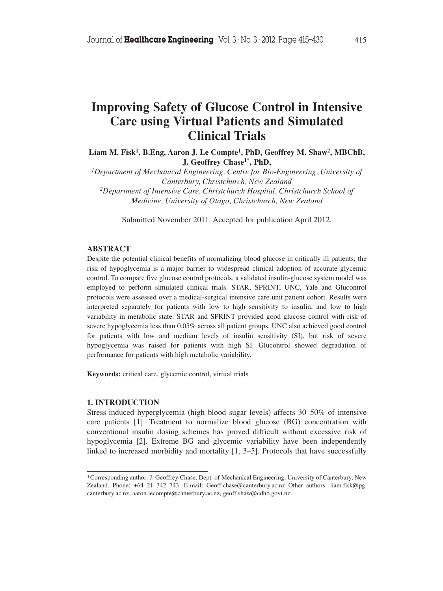# **Improving Safety of Glucose Control in Intensive Care using Virtual Patients and Simulated Clinical Trials**

**Liam M. Fisk1, B.Eng, Aaron J. Le Compte1, PhD, Geoffrey M. Shaw2, MBChB, J. Geoffrey Chase1\*, PhD,**

*1Department of Mechanical Engineering, Centre for Bio-Engineering, University of Canterbury, Christchurch, New Zealand 2Department of Intensive Care, Christchurch Hospital, Christchurch School of*

*Medicine, University of Otago, Christchurch, New Zealand*

Submitted November 2011. Accepted for publication April 2012.

## **ABSTRACT**

Despite the potential clinical benefits of normalizing blood glucose in critically ill patients, the risk of hypoglycemia is a major barrier to widespread clinical adoption of accurate glycemic control. To compare five glucose control protocols, a validated insulin-glucose system model was employed to perform simulated clinical trials. STAR, SPRINT, UNC, Yale and Glucontrol protocols were assessed over a medical-surgical intensive care unit patient cohort. Results were interpreted separately for patients with low to high sensitivity to insulin, and low to high variability in metabolic state. STAR and SPRINT provided good glucose control with risk of severe hypoglycemia less than 0.05% across all patient groups. UNC also achieved good control for patients with low and medium levels of insulin sensitivity (SI), but risk of severe hypoglycemia was raised for patients with high SI. Glucontrol showed degradation of performance for patients with high metabolic variability.

**Keywords:** critical care, glycemic control, virtual trials

#### **1. INTRODUCTION**

Stress-induced hyperglycemia (high blood sugar levels) affects 30–50% of intensive care patients [1]. Treatment to normalize blood glucose (BG) concentration with conventional insulin dosing schemes has proved difficult without excessive risk of hypoglycemia [2]. Extreme BG and glycemic variability have been independently linked to increased morbidity and mortality [1, 3–5]. Protocols that have successfully

<sup>\*</sup>Corresponding author: J. Geoffrey Chase, Dept. of Mechanical Engineering, University of Canterbury, New Zealand. Phone: +64 21 342 743. E-mail: Geoff.chase@canterbury.ac.nz Other authors: liam.fisk@pg. canterbury.ac.nz, aaron.lecompte@canterbury.ac.nz, geoff.shaw@cdhb.govt.nz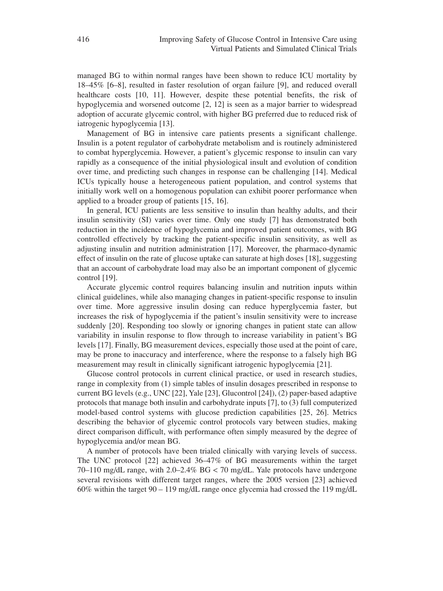managed BG to within normal ranges have been shown to reduce ICU mortality by 18–45% [6–8], resulted in faster resolution of organ failure [9], and reduced overall healthcare costs [10, 11]. However, despite these potential benefits, the risk of hypoglycemia and worsened outcome [2, 12] is seen as a major barrier to widespread adoption of accurate glycemic control, with higher BG preferred due to reduced risk of iatrogenic hypoglycemia [13].

Management of BG in intensive care patients presents a significant challenge. Insulin is a potent regulator of carbohydrate metabolism and is routinely administered to combat hyperglycemia. However, a patient's glycemic response to insulin can vary rapidly as a consequence of the initial physiological insult and evolution of condition over time, and predicting such changes in response can be challenging [14]. Medical ICUs typically house a heterogeneous patient population, and control systems that initially work well on a homogenous population can exhibit poorer performance when applied to a broader group of patients [15, 16].

In general, ICU patients are less sensitive to insulin than healthy adults, and their insulin sensitivity (SI) varies over time. Only one study [7] has demonstrated both reduction in the incidence of hypoglycemia and improved patient outcomes, with BG controlled effectively by tracking the patient-specific insulin sensitivity, as well as adjusting insulin and nutrition administration [17]. Moreover, the pharmaco-dynamic effect of insulin on the rate of glucose uptake can saturate at high doses [18], suggesting that an account of carbohydrate load may also be an important component of glycemic control [19].

Accurate glycemic control requires balancing insulin and nutrition inputs within clinical guidelines, while also managing changes in patient-specific response to insulin over time. More aggressive insulin dosing can reduce hyperglycemia faster, but increases the risk of hypoglycemia if the patient's insulin sensitivity were to increase suddenly [20]. Responding too slowly or ignoring changes in patient state can allow variability in insulin response to flow through to increase variability in patient's BG levels [17]. Finally, BG measurement devices, especially those used at the point of care, may be prone to inaccuracy and interference, where the response to a falsely high BG measurement may result in clinically significant iatrogenic hypoglycemia [21].

Glucose control protocols in current clinical practice, or used in research studies, range in complexity from (1) simple tables of insulin dosages prescribed in response to current BG levels (e.g., UNC [22], Yale [23], Glucontrol [24]), (2) paper-based adaptive protocols that manage both insulin and carbohydrate inputs [7], to (3) full computerized model-based control systems with glucose prediction capabilities [25, 26]. Metrics describing the behavior of glycemic control protocols vary between studies, making direct comparison difficult, with performance often simply measured by the degree of hypoglycemia and/or mean BG.

A number of protocols have been trialed clinically with varying levels of success. The UNC protocol [22] achieved 36–47% of BG measurements within the target 70–110 mg/dL range, with 2.0–2.4% BG < 70 mg/dL. Yale protocols have undergone several revisions with different target ranges, where the 2005 version [23] achieved 60% within the target 90 – 119 mg/dL range once glycemia had crossed the 119 mg/dL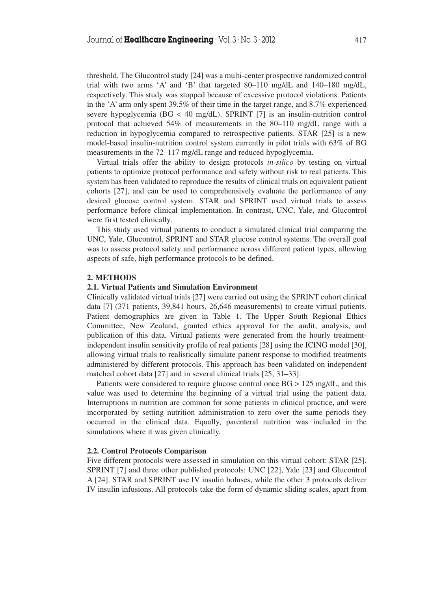threshold. The Glucontrol study [24] was a multi-center prospective randomized control trial with two arms 'A' and 'B' that targeted 80–110 mg/dL and 140–180 mg/dL, respectively. This study was stopped because of excessive protocol violations. Patients in the 'A' arm only spent 39.5% of their time in the target range, and 8.7% experienced severe hypoglycemia ( $BG < 40$  mg/dL). SPRINT [7] is an insulin-nutrition control protocol that achieved 54% of measurements in the 80–110 mg/dL range with a reduction in hypoglycemia compared to retrospective patients. STAR [25] is a new model-based insulin-nutrition control system currently in pilot trials with 63% of BG measurements in the 72–117 mg/dL range and reduced hypoglycemia.

Virtual trials offer the ability to design protocols *in-silico* by testing on virtual patients to optimize protocol performance and safety without risk to real patients. This system has been validated to reproduce the results of clinical trials on equivalent patient cohorts [27], and can be used to comprehensively evaluate the performance of any desired glucose control system. STAR and SPRINT used virtual trials to assess performance before clinical implementation. In contrast, UNC, Yale, and Glucontrol were first tested clinically.

This study used virtual patients to conduct a simulated clinical trial comparing the UNC, Yale, Glucontrol, SPRINT and STAR glucose control systems. The overall goal was to assess protocol safety and performance across different patient types, allowing aspects of safe, high performance protocols to be defined.

#### **2. METHODS**

#### **2.1. Virtual Patients and Simulation Environment**

Clinically validated virtual trials [27] were carried out using the SPRINT cohort clinical data [7] (371 patients, 39,841 hours, 26,646 measurements) to create virtual patients. Patient demographics are given in Table 1. The Upper South Regional Ethics Committee, New Zealand, granted ethics approval for the audit, analysis, and publication of this data. Virtual patients were generated from the hourly treatmentindependent insulin sensitivity profile of real patients [28] using the ICING model [30], allowing virtual trials to realistically simulate patient response to modified treatments administered by different protocols. This approach has been validated on independent matched cohort data [27] and in several clinical trials [25, 31–33].

Patients were considered to require glucose control once BG > 125 mg/dL, and this value was used to determine the beginning of a virtual trial using the patient data. Interruptions in nutrition are common for some patients in clinical practice, and were incorporated by setting nutrition administration to zero over the same periods they occurred in the clinical data. Equally, parenteral nutrition was included in the simulations where it was given clinically.

## **2.2. Control Protocols Comparison**

Five different protocols were assessed in simulation on this virtual cohort: STAR [25], SPRINT [7] and three other published protocols: UNC [22], Yale [23] and Glucontrol A [24]. STAR and SPRINT use IV insulin boluses, while the other 3 protocols deliver IV insulin infusions. All protocols take the form of dynamic sliding scales, apart from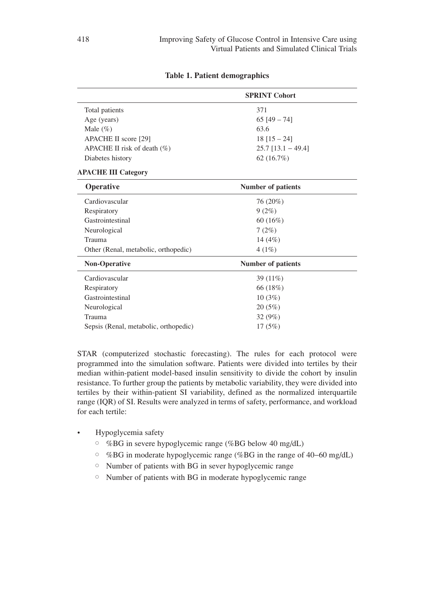|                                       | <b>SPRINT Cohort</b>      |  |
|---------------------------------------|---------------------------|--|
| Total patients                        | 371                       |  |
| Age (years)                           | $65$ [49 - 74]            |  |
| Male $(\% )$                          | 63.6                      |  |
| APACHE II score [29]                  | $18[15-24]$               |  |
| APACHE II risk of death $(\%)$        | $25.7$ [13.1 - 49.4]      |  |
| Diabetes history                      | 62 (16.7%)                |  |
| <b>APACHE III Category</b>            |                           |  |
| Operative                             | <b>Number of patients</b> |  |
| Cardiovascular                        | 76 (20%)                  |  |
| Respiratory                           | 9(2%)                     |  |
| Gastrointestinal                      | 60(16%)                   |  |
| Neurological                          | 7(2%)                     |  |
| Trauma                                | 14 $(4%)$                 |  |
| Other (Renal, metabolic, orthopedic)  | 4(1%)                     |  |
| Non-Operative                         | <b>Number of patients</b> |  |
| Cardiovascular                        | 39 $(11\%)$               |  |
| Respiratory                           | 66 (18%)                  |  |
| Gastrointestinal                      | 10(3%)                    |  |
| Neurological                          | 20(5%)                    |  |
| Trauma                                | 32(9%)                    |  |
| Sepsis (Renal, metabolic, orthopedic) | 17(5%)                    |  |
|                                       |                           |  |

## **Table 1. Patient demographics**

STAR (computerized stochastic forecasting). The rules for each protocol were programmed into the simulation software. Patients were divided into tertiles by their median within-patient model-based insulin sensitivity to divide the cohort by insulin resistance. To further group the patients by metabolic variability, they were divided into tertiles by their within-patient SI variability, defined as the normalized interquartile range (IQR) of SI. Results were analyzed in terms of safety, performance, and workload for each tertile:

- Hypoglycemia safety
	- %BG in severe hypoglycemic range (%BG below 40 mg/dL)
	- %BG in moderate hypoglycemic range (%BG in the range of 40−60 mg/dL)
	- Number of patients with BG in sever hypoglycemic range
	- Number of patients with BG in moderate hypoglycemic range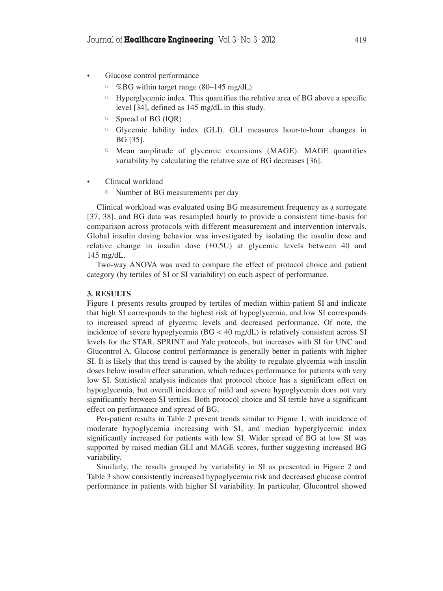- Glucose control performance
	- $\degree$  %BG within target range (80–145 mg/dL)
	- Hyperglycemic index. This quantifies the relative area of BG above a specific level [34], defined as 145 mg/dL in this study.
	- Spread of BG (IQR)
	- Glycemic lability index (GLI). GLI measures hour-to-hour changes in BG [35].
	- Mean amplitude of glycemic excursions (MAGE). MAGE quantifies variability by calculating the relative size of BG decreases [36].
- Clinical workload
	- $\bigcirc$ Number of BG measurements per day

Clinical workload was evaluated using BG measurement frequency as a surrogate [37, 38], and BG data was resampled hourly to provide a consistent time-basis for comparison across protocols with different measurement and intervention intervals. Global insulin dosing behavior was investigated by isolating the insulin dose and relative change in insulin dose  $(\pm 0.5U)$  at glycemic levels between 40 and 145 mg/dL.

Two-way ANOVA was used to compare the effect of protocol choice and patient category (by tertiles of SI or SI variability) on each aspect of performance.

## **3. RESULTS**

Figure 1 presents results grouped by tertiles of median within-patient SI and indicate that high SI corresponds to the highest risk of hypoglycemia, and low SI corresponds to increased spread of glycemic levels and decreased performance. Of note, the incidence of severe hypoglycemia (BG < 40 mg/dL) is relatively consistent across SI levels for the STAR, SPRINT and Yale protocols, but increases with SI for UNC and Glucontrol A. Glucose control performance is generally better in patients with higher SI. It is likely that this trend is caused by the ability to regulate glycemia with insulin doses below insulin effect saturation, which reduces performance for patients with very low SI. Statistical analysis indicates that protocol choice has a significant effect on hypoglycemia, but overall incidence of mild and severe hypoglycemia does not vary significantly between SI tertiles. Both protocol choice and SI tertile have a significant effect on performance and spread of BG.

Per-patient results in Table 2 present trends similar to Figure 1, with incidence of moderate hypoglycemia increasing with SI, and median hyperglycemic index significantly increased for patients with low SI. Wider spread of BG at low SI was supported by raised median GLI and MAGE scores, further suggesting increased BG variability.

Similarly, the results grouped by variability in SI as presented in Figure 2 and Table 3 show consistently increased hypoglycemia risk and decreased glucose control performance in patients with higher SI variability. In particular, Glucontrol showed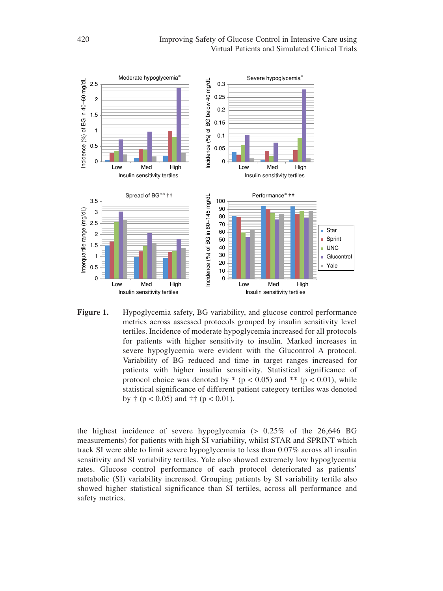

**Figure 1.** Hypoglycemia safety, BG variability, and glucose control performance metrics across assessed protocols grouped by insulin sensitivity level tertiles. Incidence of moderate hypoglycemia increased for all protocols for patients with higher sensitivity to insulin. Marked increases in severe hypoglycemia were evident with the Glucontrol A protocol. Variability of BG reduced and time in target ranges increased for patients with higher insulin sensitivity. Statistical significance of protocol choice was denoted by  $*(p < 0.05)$  and  $** (p < 0.01)$ , while statistical significance of different patient category tertiles was denoted by  $\dagger$  (p < 0.05) and  $\dagger \dagger$  (p < 0.01).

the highest incidence of severe hypoglycemia  $(> 0.25\%$  of the 26,646 BG measurements) for patients with high SI variability, whilst STAR and SPRINT which track SI were able to limit severe hypoglycemia to less than 0.07% across all insulin sensitivity and SI variability tertiles. Yale also showed extremely low hypoglycemia rates. Glucose control performance of each protocol deteriorated as patients' metabolic (SI) variability increased. Grouping patients by SI variability tertile also showed higher statistical significance than SI tertiles, across all performance and safety metrics.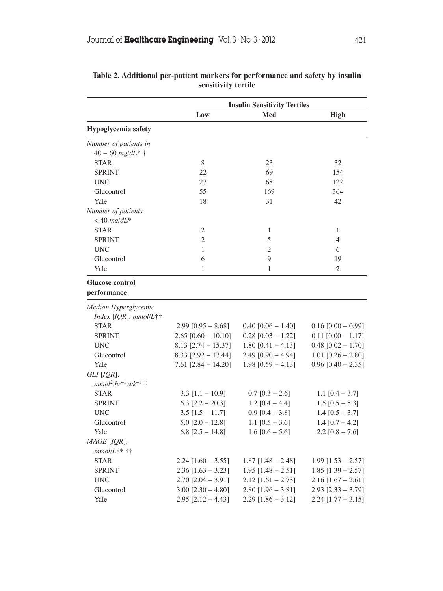|                             | <b>Insulin Sensitivity Tertiles</b> |                      |                          |
|-----------------------------|-------------------------------------|----------------------|--------------------------|
|                             | Low                                 | Med                  | <b>High</b>              |
| Hypoglycemia safety         |                                     |                      |                          |
| Number of patients in       |                                     |                      |                          |
| $40 - 60$ mg/dL* $\dagger$  |                                     |                      |                          |
| <b>STAR</b>                 | 8                                   | 23                   | 32                       |
| <b>SPRINT</b>               | 22                                  | 69                   | 154                      |
| <b>UNC</b>                  | 27                                  | 68                   | 122                      |
| Glucontrol                  | 55                                  | 169                  | 364                      |
| Yale                        | 18                                  | 31                   | 42                       |
| Number of patients          |                                     |                      |                          |
| $<$ 40 mg/dL*               |                                     |                      |                          |
| <b>STAR</b>                 | 2                                   | 1                    | 1                        |
| <b>SPRINT</b>               | $\overline{2}$                      | 5                    | $\overline{4}$           |
| <b>UNC</b>                  | $\mathbf{1}$                        | $\overline{2}$       | 6                        |
| Glucontrol                  | 6                                   | 9                    | 19                       |
| Yale                        | 1                                   | 1                    | 2                        |
| Glucose control             |                                     |                      |                          |
| performance                 |                                     |                      |                          |
| Median Hyperglycemic        |                                     |                      |                          |
| Index [IQR], mmol/L††       |                                     |                      |                          |
| <b>STAR</b>                 | $2.99$ [0.95 – 8.68]                | $0.40$ [0.06 - 1.40] | $0.16$ [0.00 – 0.99]     |
| <b>SPRINT</b>               | $2.65$ [0.60 - 10.10]               | $0.28$ [0.03 - 1.22] | $0.11$ [0.00 - 1.17]     |
| <b>UNC</b>                  | $8.13$ [2.74 - 15.37]               | $1.80$ [0.41 - 4.13] | $0.48$ [0.02 - 1.70]     |
| Glucontrol                  | $8.33$ [2.92 - 17.44]               | $2.49$ [0.90 - 4.94] | $1.01$ [0.26 - 2.80]     |
| Yale                        | $7.61$ [2.84 - 14.20]               | $1.98$ [0.59 - 4.13] | $0.96$ [0.40 – 2.35]     |
| GLI [IOR],                  |                                     |                      |                          |
| $mmol^2.hr^{-1}.wk^{-1}$ †† |                                     |                      |                          |
| <b>STAR</b>                 | $3.3$ [1.1 - 10.9]                  | $0.7$ [0.3 - 2.6]    | 1.1 $[0.4 - 3.7]$        |
| <b>SPRINT</b>               | 6.3 $[2.2 - 20.3]$                  | $1.2$ [0.4 - 4.4]    | $1.5$ [0.5 - 5.3]        |
| <b>UNC</b>                  | $3.5$ [1.5 - 11.7]                  | $0.9$ [0.4 - 3.8]    | 1.4 $[0.5 - 3.7]$        |
| Glucontrol                  | $5.0$ [2.0 - 12.8]                  | 1.1 $[0.5 - 3.6]$    | 1.4 $[0.7 - 4.2]$        |
| Yale                        | 6.8 $[2.5 - 14.8]$                  | $1.6 [0.6 - 5.6]$    | $2.2$ [0.8 – 7.6]        |
| MAGE [IQR],                 |                                     |                      |                          |
| $mmollL**$ ††               |                                     |                      |                          |
| <b>STAR</b>                 | $2.24$ [1.60 - 3.55]                | $1.87$ [1.48 - 2.48] | $1.99$ [1.53 - 2.57]     |
| <b>SPRINT</b>               | $2.36$ [1.63 – 3.23]                | $1.95$ [1.48 – 2.51] | $1.85$ [1.39 – 2.57]     |
| <b>UNC</b>                  | $2.70$ [2.04 - 3.91]                | $2.12$ [1.61 - 2.73] | $2.16$ [1.67 - 2.61]     |
| Glucontrol                  | $3.00$ [2.30 - 4.80]                | $2.80$ [1.96 – 3.81] | $2.93$ [ $2.33 - 3.79$ ] |
| Yale                        | $2.95$ [ $2.12 - 4.43$ ]            | $2.29$ [1.86 - 3.12] | $2.24$ [1.77 - 3.15]     |

## **Table 2. Additional per-patient markers for performance and safety by insulin sensitivity tertile**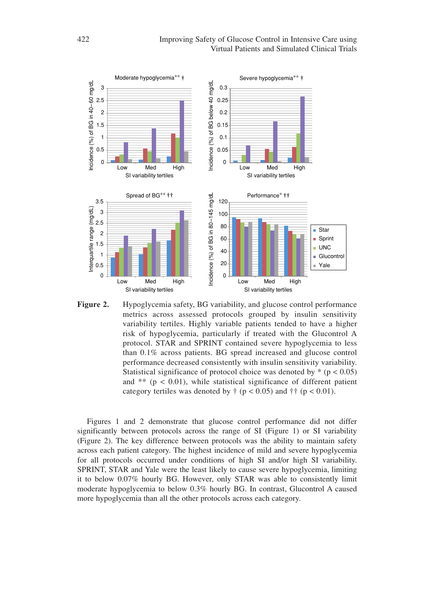

**Figure 2.** Hypoglycemia safety, BG variability, and glucose control performance metrics across assessed protocols grouped by insulin sensitivity variability tertiles. Highly variable patients tended to have a higher risk of hypoglycemia, particularly if treated with the Glucontrol A protocol. STAR and SPRINT contained severe hypoglycemia to less than 0.1% across patients. BG spread increased and glucose control performance decreased consistently with insulin sensitivity variability. Statistical significance of protocol choice was denoted by  $*(p < 0.05)$ and  $**$  ( $p < 0.01$ ), while statistical significance of different patient category tertiles was denoted by  $\ddagger$  ( $p < 0.05$ ) and  $\ddagger$  ( $p < 0.01$ ).

Figures 1 and 2 demonstrate that glucose control performance did not differ significantly between protocols across the range of SI (Figure 1) or SI variability (Figure 2). The key difference between protocols was the ability to maintain safety across each patient category. The highest incidence of mild and severe hypoglycemia for all protocols occurred under conditions of high SI and/or high SI variability. SPRINT, STAR and Yale were the least likely to cause severe hypoglycemia, limiting it to below 0.07% hourly BG. However, only STAR was able to consistently limit moderate hypoglycemia to below 0.3% hourly BG. In contrast, Glucontrol A caused more hypoglycemia than all the other protocols across each category.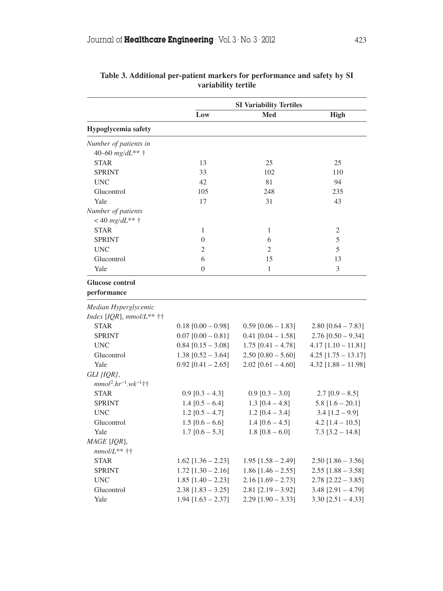|                             | <b>SI Variability Tertiles</b> |                      |                          |
|-----------------------------|--------------------------------|----------------------|--------------------------|
|                             | Low                            | Med                  | High                     |
| Hypoglycemia safety         |                                |                      |                          |
| Number of patients in       |                                |                      |                          |
| 40-60 mg/dL** +             |                                |                      |                          |
| <b>STAR</b>                 | 13                             | 25                   | 25                       |
| <b>SPRINT</b>               | 33                             | 102                  | 110                      |
| <b>UNC</b>                  | 42                             | 81                   | 94                       |
| Glucontrol                  | 105                            | 248                  | 235                      |
| Yale                        | 17                             | 31                   | 43                       |
| Number of patients          |                                |                      |                          |
| < 40 $mg/dL**$ †            |                                |                      |                          |
| <b>STAR</b>                 | 1                              | 1                    | 2                        |
| <b>SPRINT</b>               | $\overline{0}$                 | 6                    | 5                        |
| <b>UNC</b>                  | $\overline{c}$                 | 2                    | 5                        |
| Glucontrol                  | 6                              | 15                   | 13                       |
| Yale                        | $\overline{0}$                 | $\mathbf{1}$         | 3                        |
| Glucose control             |                                |                      |                          |
| performance                 |                                |                      |                          |
| Median Hyperglycemic        |                                |                      |                          |
| Index [IQR], $mmol/L**$ ††  |                                |                      |                          |
| <b>STAR</b>                 | $0.18$ [0.00 - 0.98]           | $0.59$ [0.06 - 1.83] | $2.80$ [0.64 – 7.83]     |
| <b>SPRINT</b>               | $0.07$ [0.00 - 0.81]           | $0.41$ [0.04 - 1.58] | $2.76$ [0.50 - 9.34]     |
| <b>UNC</b>                  | $0.84$ [0.15 - 3.08]           | $1.75$ [0.41 - 4.78] | $4.17$ [1.10 - 11.81]    |
| Glucontrol                  | $1.38$ [0.52 - 3.64]           | $2.50$ [0.80 - 5.60] | $4.25$ [1.75 - 13.17]    |
| Yale                        | $0.92$ [0.41 - 2.65]           | $2.02$ [0.61 - 4.60] | $4.32$ [1.88 - 11.98]    |
| GLI [IQR],                  |                                |                      |                          |
| $mmol^2.hr^{-1}.wk^{-1}$ †† |                                |                      |                          |
| <b>STAR</b>                 | $0.9$ [0.3 - 4.3]              | $0.9$ [0.3 – 3.0]    | $2.7$ [0.9 - 8.5]        |
| <b>SPRINT</b>               | 1.4 $[0.5 - 6.4]$              | 1.3 $[0.4 - 4.8]$    | $5.8$ [1.6 - 20.1]       |
| <b>UNC</b>                  | $1.2$ [0.5 - 4.7]              | $1.2$ [0.4 – 3.4]    | $3.4$ [1.2 – 9.9]        |
| Glucontrol                  | $1.5$ [0.6 – 6.6]              | $1.4 [0.6 - 4.5]$    | $4.2$ [1.4 – 10.5]       |
| Yale                        | $1.7$ [0.6 - 5.3]              | 1.8 $[0.8 - 6.0]$    | $7.3$ [3.2 – 14.8]       |
| MAGE [IQR],                 |                                |                      |                          |
| $mmollL**$ ††               |                                |                      |                          |
| <b>STAR</b>                 | $1.62$ [1.36 – 2.23]           | $1.95$ [1.58 – 2.49] | $2.50$ [1.86 – 3.56]     |
| <b>SPRINT</b>               | $1.72$ [1.30 - 2.16]           | $1.86$ [1.46 – 2.55] | $2.55$ [1.88 - 3.58]     |
| <b>UNC</b>                  | $1.85$ [1.40 - 2.23]           | $2.16$ [1.69 - 2.73] | $2.78$ [2.22 - 3.85]     |
| Glucontrol                  | $2.38$ [1.83 - 3.25]           | $2.81$ [2.19 - 3.92] | $3.48$ [2.91 - 4.79]     |
| Yale                        | $1.94$ [1.63 - 2.37]           | $2.29$ [1.90 - 3.33] | $3.30$ [ $2.51 - 4.33$ ] |

## **Table 3. Additional per-patient markers for performance and safety by SI variability tertile**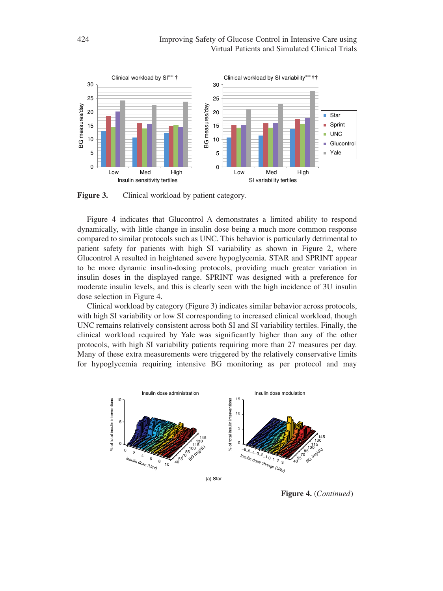

Figure 3. Clinical workload by patient category.

Figure 4 indicates that Glucontrol A demonstrates a limited ability to respond dynamically, with little change in insulin dose being a much more common response compared to similar protocols such as UNC. This behavior is particularly detrimental to patient safety for patients with high SI variability as shown in Figure 2, where Glucontrol A resulted in heightened severe hypoglycemia. STAR and SPRINT appear to be more dynamic insulin-dosing protocols, providing much greater variation in insulin doses in the displayed range. SPRINT was designed with a preference for moderate insulin levels, and this is clearly seen with the high incidence of 3U insulin dose selection in Figure 4.

Clinical workload by category (Figure 3) indicates similar behavior across protocols, with high SI variability or low SI corresponding to increased clinical workload, though UNC remains relatively consistent across both SI and SI variability tertiles. Finally, the clinical workload required by Yale was significantly higher than any of the other protocols, with high SI variability patients requiring more than 27 measures per day. Many of these extra measurements were triggered by the relatively conservative limits for hypoglycemia requiring intensive BG monitoring as per protocol and may



**Figure 4.** (*Continued*)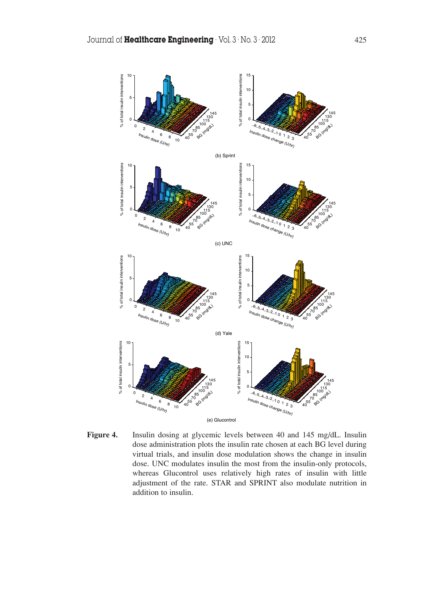

**Figure 4.** Insulin dosing at glycemic levels between 40 and 145 mg/dL. Insulin dose administration plots the insulin rate chosen at each BG level during virtual trials, and insulin dose modulation shows the change in insulin dose. UNC modulates insulin the most from the insulin-only protocols, whereas Glucontrol uses relatively high rates of insulin with little adjustment of the rate. STAR and SPRINT also modulate nutrition in addition to insulin.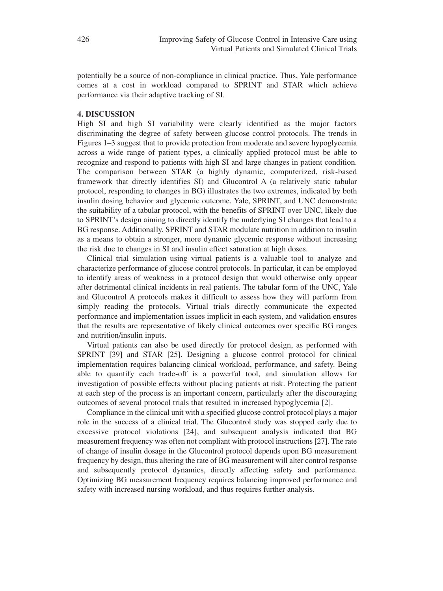potentially be a source of non-compliance in clinical practice. Thus, Yale performance comes at a cost in workload compared to SPRINT and STAR which achieve performance via their adaptive tracking of SI.

## **4. DISCUSSION**

High SI and high SI variability were clearly identified as the major factors discriminating the degree of safety between glucose control protocols. The trends in Figures 1–3 suggest that to provide protection from moderate and severe hypoglycemia across a wide range of patient types, a clinically applied protocol must be able to recognize and respond to patients with high SI and large changes in patient condition. The comparison between STAR (a highly dynamic, computerized, risk-based framework that directly identifies SI) and Glucontrol A (a relatively static tabular protocol, responding to changes in BG) illustrates the two extremes, indicated by both insulin dosing behavior and glycemic outcome. Yale, SPRINT, and UNC demonstrate the suitability of a tabular protocol, with the benefits of SPRINT over UNC, likely due to SPRINT's design aiming to directly identify the underlying SI changes that lead to a BG response. Additionally, SPRINT and STAR modulate nutrition in addition to insulin as a means to obtain a stronger, more dynamic glycemic response without increasing the risk due to changes in SI and insulin effect saturation at high doses.

Clinical trial simulation using virtual patients is a valuable tool to analyze and characterize performance of glucose control protocols. In particular, it can be employed to identify areas of weakness in a protocol design that would otherwise only appear after detrimental clinical incidents in real patients. The tabular form of the UNC, Yale and Glucontrol A protocols makes it difficult to assess how they will perform from simply reading the protocols. Virtual trials directly communicate the expected performance and implementation issues implicit in each system, and validation ensures that the results are representative of likely clinical outcomes over specific BG ranges and nutrition/insulin inputs.

Virtual patients can also be used directly for protocol design, as performed with SPRINT [39] and STAR [25]. Designing a glucose control protocol for clinical implementation requires balancing clinical workload, performance, and safety. Being able to quantify each trade-off is a powerful tool, and simulation allows for investigation of possible effects without placing patients at risk. Protecting the patient at each step of the process is an important concern, particularly after the discouraging outcomes of several protocol trials that resulted in increased hypoglycemia [2].

Compliance in the clinical unit with a specified glucose control protocol plays a major role in the success of a clinical trial. The Glucontrol study was stopped early due to excessive protocol violations [24], and subsequent analysis indicated that BG measurement frequency was often not compliant with protocol instructions [27]. The rate of change of insulin dosage in the Glucontrol protocol depends upon BG measurement frequency by design, thus altering the rate of BG measurement will alter control response and subsequently protocol dynamics, directly affecting safety and performance. Optimizing BG measurement frequency requires balancing improved performance and safety with increased nursing workload, and thus requires further analysis.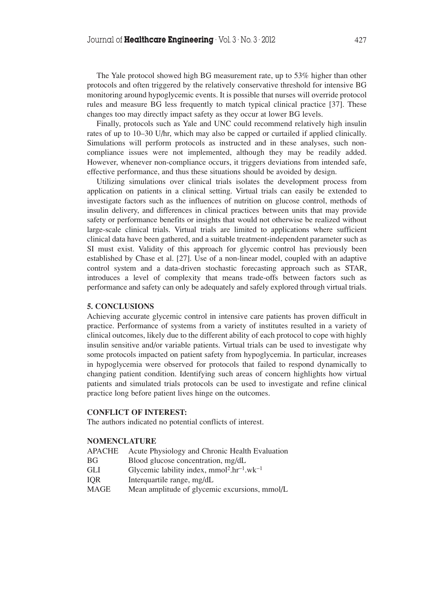The Yale protocol showed high BG measurement rate, up to 53% higher than other protocols and often triggered by the relatively conservative threshold for intensive BG monitoring around hypoglycemic events. It is possible that nurses will override protocol rules and measure BG less frequently to match typical clinical practice [37]. These changes too may directly impact safety as they occur at lower BG levels.

Finally, protocols such as Yale and UNC could recommend relatively high insulin rates of up to 10–30 U/hr, which may also be capped or curtailed if applied clinically. Simulations will perform protocols as instructed and in these analyses, such noncompliance issues were not implemented, although they may be readily added. However, whenever non-compliance occurs, it triggers deviations from intended safe, effective performance, and thus these situations should be avoided by design.

Utilizing simulations over clinical trials isolates the development process from application on patients in a clinical setting. Virtual trials can easily be extended to investigate factors such as the influences of nutrition on glucose control, methods of insulin delivery, and differences in clinical practices between units that may provide safety or performance benefits or insights that would not otherwise be realized without large-scale clinical trials. Virtual trials are limited to applications where sufficient clinical data have been gathered, and a suitable treatment-independent parameter such as SI must exist. Validity of this approach for glycemic control has previously been established by Chase et al. [27]. Use of a non-linear model, coupled with an adaptive control system and a data-driven stochastic forecasting approach such as STAR, introduces a level of complexity that means trade-offs between factors such as performance and safety can only be adequately and safely explored through virtual trials.

## **5. CONCLUSIONS**

Achieving accurate glycemic control in intensive care patients has proven difficult in practice. Performance of systems from a variety of institutes resulted in a variety of clinical outcomes, likely due to the different ability of each protocol to cope with highly insulin sensitive and/or variable patients. Virtual trials can be used to investigate why some protocols impacted on patient safety from hypoglycemia. In particular, increases in hypoglycemia were observed for protocols that failed to respond dynamically to changing patient condition. Identifying such areas of concern highlights how virtual patients and simulated trials protocols can be used to investigate and refine clinical practice long before patient lives hinge on the outcomes.

## **CONFLICT OF INTEREST:**

The authors indicated no potential conflicts of interest.

#### **NOMENCLATURE**

- APACHE Acute Physiology and Chronic Health Evaluation
- BG Blood glucose concentration, mg/dL
- GLI Glycemic lability index, mmol<sup>2</sup>.hr<sup>-1</sup>.wk<sup>-1</sup>
- IOR Interquartile range, mg/dL
- MAGE Mean amplitude of glycemic excursions, mmol/L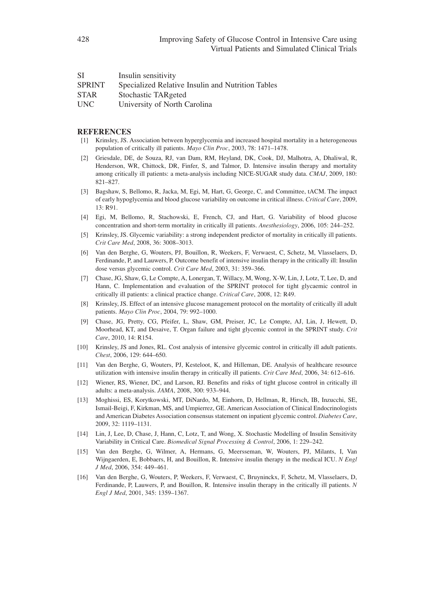| <b>SI</b>     | Insulin sensitivity                               |
|---------------|---------------------------------------------------|
| <b>SPRINT</b> | Specialized Relative Insulin and Nutrition Tables |
| <b>STAR</b>   | Stochastic TARgeted                               |
| <b>UNC</b>    | University of North Carolina                      |

## **REFERENCES**

- [1] Krinsley, JS. Association between hyperglycemia and increased hospital mortality in a heterogeneous population of critically ill patients. *Mayo Clin Proc*, 2003, 78: 1471–1478.
- [2] Griesdale, DE, de Souza, RJ, van Dam, RM, Heyland, DK, Cook, DJ, Malhotra, A, Dhaliwal, R, Henderson, WR, Chittock, DR, Finfer, S, and Talmor, D. Intensive insulin therapy and mortality among critically ill patients: a meta-analysis including NICE-SUGAR study data. *CMAJ*, 2009, 180: 821–827.
- [3] Bagshaw, S, Bellomo, R, Jacka, M, Egi, M, Hart, G, George, C, and Committee, tACM. The impact of early hypoglycemia and blood glucose variability on outcome in critical illness. *Critical Care*, 2009,  $13: R91.$
- [4] Egi, M, Bellomo, R, Stachowski, E, French, CJ, and Hart, G. Variability of blood glucose concentration and short-term mortality in critically ill patients. *Anesthesiology*, 2006, 105: 244–252.
- [5] Krinsley, JS. Glycemic variability: a strong independent predictor of mortality in critically ill patients. *Crit Care Med*, 2008, 36: 3008–3013.
- [6] Van den Berghe, G, Wouters, PJ, Bouillon, R, Weekers, F, Verwaest, C, Schetz, M, Vlasselaers, D, Ferdinande, P, and Lauwers, P. Outcome benefit of intensive insulin therapy in the critically ill: Insulin dose versus glycemic control. *Crit Care Med*, 2003, 31: 359–366.
- [7] Chase, JG, Shaw, G, Le Compte, A, Lonergan, T, Willacy, M, Wong, X-W, Lin, J, Lotz, T, Lee, D, and Hann, C. Implementation and evaluation of the SPRINT protocol for tight glycaemic control in critically ill patients: a clinical practice change. *Critical Care*, 2008, 12: R49.
- [8] Krinsley, JS. Effect of an intensive glucose management protocol on the mortality of critically ill adult patients. *Mayo Clin Proc*, 2004, 79: 992–1000.
- [9] Chase, JG, Pretty, CG, Pfeifer, L, Shaw, GM, Preiser, JC, Le Compte, AJ, Lin, J, Hewett, D, Moorhead, KT, and Desaive, T. Organ failure and tight glycemic control in the SPRINT study. *Crit Care*, 2010, 14: R154.
- [10] Krinsley, JS and Jones, RL. Cost analysis of intensive glycemic control in critically ill adult patients. *Chest*, 2006, 129: 644–650.
- [11] Van den Berghe, G, Wouters, PJ, Kesteloot, K, and Hilleman, DE. Analysis of healthcare resource utilization with intensive insulin therapy in critically ill patients. *Crit Care Med*, 2006, 34: 612–616.
- [12] Wiener, RS, Wiener, DC, and Larson, RJ. Benefits and risks of tight glucose control in critically ill adults: a meta-analysis. *JAMA*, 2008, 300: 933–944.
- [13] Moghissi, ES, Korytkowski, MT, DiNardo, M, Einhorn, D, Hellman, R, Hirsch, IB, Inzucchi, SE, Ismail-Beigi, F, Kirkman, MS, and Umpierrez, GE. American Association of Clinical Endocrinologists and American Diabetes Association consensus statement on inpatient glycemic control. *Diabetes Care*, 2009, 32: 1119–1131.
- [14] Lin, J, Lee, D, Chase, J, Hann, C, Lotz, T, and Wong, X. Stochastic Modelling of Insulin Sensitivity Variability in Critical Care. *Biomedical Signal Processing & Control*, 2006, 1: 229–242.
- [15] Van den Berghe, G, Wilmer, A, Hermans, G, Meersseman, W, Wouters, PJ, Milants, I, Van Wijngaerden, E, Bobbaers, H, and Bouillon, R. Intensive insulin therapy in the medical ICU. *N Engl J Med*, 2006, 354: 449–461.
- [16] Van den Berghe, G, Wouters, P, Weekers, F, Verwaest, C, Bruyninckx, F, Schetz, M, Vlasselaers, D, Ferdinande, P, Lauwers, P, and Bouillon, R. Intensive insulin therapy in the critically ill patients. *N Engl J Med*, 2001, 345: 1359–1367.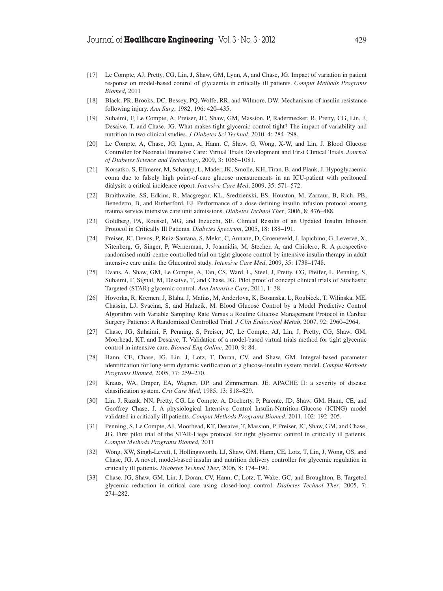- [17] Le Compte, AJ, Pretty, CG, Lin, J, Shaw, GM, Lynn, A, and Chase, JG. Impact of variation in patient response on model-based control of glycaemia in critically ill patients. *Comput Methods Programs Biomed*, 2011
- [18] Black, PR, Brooks, DC, Bessey, PQ, Wolfe, RR, and Wilmore, DW. Mechanisms of insulin resistance following injury. *Ann Surg*, 1982, 196: 420–435.
- [19] Suhaimi, F, Le Compte, A, Preiser, JC, Shaw, GM, Massion, P, Radermecker, R, Pretty, CG, Lin, J, Desaive, T, and Chase, JG. What makes tight glycemic control tight? The impact of variability and nutrition in two clinical studies. *J Diabetes Sci Technol*, 2010, 4: 284–298.
- [20] Le Compte, A, Chase, JG, Lynn, A, Hann, C, Shaw, G, Wong, X-W, and Lin, J. Blood Glucose Controller for Neonatal Intensive Care: Virtual Trials Development and First Clinical Trials. *Journal of Diabetes Science and Technology*, 2009, 3: 1066–1081.
- [21] Korsatko, S, Ellmerer, M, Schaupp, L, Mader, JK, Smolle, KH, Tiran, B, and Plank, J. Hypoglycaemic coma due to falsely high point-of-care glucose measurements in an ICU-patient with peritoneal dialysis: a critical incidence report. *Intensive Care Med*, 2009, 35: 571–572.
- [22] Braithwaite, SS, Edkins, R, Macgregor, KL, Sredzienski, ES, Houston, M, Zarzaur, B, Rich, PB, Benedetto, B, and Rutherford, EJ. Performance of a dose-defining insulin infusion protocol among trauma service intensive care unit admissions. *Diabetes Technol Ther*, 2006, 8: 476–488.
- [23] Goldberg, PA, Roussel, MG, and Inzucchi, SE. Clinical Results of an Updated Insulin Infusion Protocol in Critically Ill Patients. *Diabetes Spectrum*, 2005, 18: 188–191.
- [24] Preiser, JC, Devos, P, Ruiz-Santana, S, Melot, C, Annane, D, Groeneveld, J, Iapichino, G, Leverve, X, Nitenberg, G, Singer, P, Wernerman, J, Joannidis, M, Stecher, A, and Chiolero, R. A prospective randomised multi-centre controlled trial on tight glucose control by intensive insulin therapy in adult intensive care units: the Glucontrol study. *Intensive Care Med*, 2009, 35: 1738–1748.
- [25] Evans, A, Shaw, GM, Le Compte, A, Tan, CS, Ward, L, Steel, J, Pretty, CG, Pfeifer, L, Penning, S, Suhaimi, F, Signal, M, Desaive, T, and Chase, JG. Pilot proof of concept clinical trials of Stochastic Targeted (STAR) glycemic control. *Ann Intensive Care*, 2011, 1: 38.
- [26] Hovorka, R, Kremen, J, Blaha, J, Matias, M, Anderlova, K, Bosanska, L, Roubicek, T, Wilinska, ME, Chassin, LJ, Svacina, S, and Haluzik, M. Blood Glucose Control by a Model Predictive Control Algorithm with Variable Sampling Rate Versus a Routine Glucose Management Protocol in Cardiac Surgery Patients: A Randomized Controlled Trial. *J Clin Endocrinol Metab*, 2007, 92: 2960–2964.
- [27] Chase, JG, Suhaimi, F, Penning, S, Preiser, JC, Le Compte, AJ, Lin, J, Pretty, CG, Shaw, GM, Moorhead, KT, and Desaive, T. Validation of a model-based virtual trials method for tight glycemic control in intensive care. *Biomed Eng Online*, 2010, 9: 84.
- [28] Hann, CE, Chase, JG, Lin, J, Lotz, T, Doran, CV, and Shaw, GM. Integral-based parameter identification for long-term dynamic verification of a glucose-insulin system model. *Comput Methods Programs Biomed*, 2005, 77: 259–270.
- [29] Knaus, WA, Draper, EA, Wagner, DP, and Zimmerman, JE. APACHE II: a severity of disease classification system. *Crit Care Med*, 1985, 13: 818–829.
- [30] Lin, J, Razak, NN, Pretty, CG, Le Compte, A, Docherty, P, Parente, JD, Shaw, GM, Hann, CE, and Geoffrey Chase, J. A physiological Intensive Control Insulin-Nutrition-Glucose (ICING) model validated in critically ill patients. *Comput Methods Programs Biomed*, 2011, 102: 192–205.
- [31] Penning, S, Le Compte, AJ, Moorhead, KT, Desaive, T, Massion, P, Preiser, JC, Shaw, GM, and Chase, JG. First pilot trial of the STAR-Liege protocol for tight glycemic control in critically ill patients. *Comput Methods Programs Biomed*, 2011
- [32] Wong, XW, Singh-Levett, I, Hollingsworth, LJ, Shaw, GM, Hann, CE, Lotz, T, Lin, J, Wong, OS, and Chase, JG. A novel, model-based insulin and nutrition delivery controller for glycemic regulation in critically ill patients. *Diabetes Technol Ther*, 2006, 8: 174–190.
- [33] Chase, JG, Shaw, GM, Lin, J, Doran, CV, Hann, C, Lotz, T, Wake, GC, and Broughton, B. Targeted glycemic reduction in critical care using closed-loop control. *Diabetes Technol Ther*, 2005, 7: 274–282.